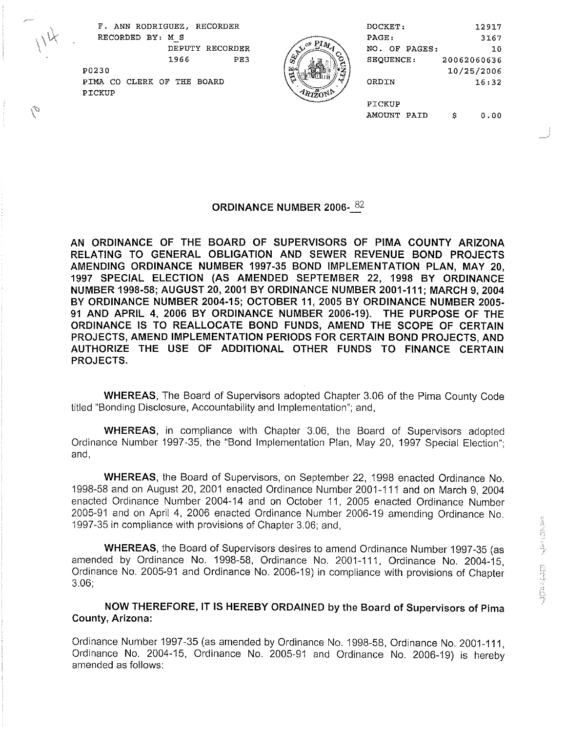

|           | F. ANN RODRIGUEZ, RECORDER |                    |     |      | DOCKET:          |             | 12917      |
|-----------|----------------------------|--------------------|-----|------|------------------|-------------|------------|
| <b>AN</b> | RECORDED BY: M S           |                    |     |      | PAGE:            |             | 3167       |
|           |                            | DEPUTY RECORDER    |     | ъ.   | NO.<br>OF PAGES: |             | 10         |
|           |                            | 1966               | PE3 |      | SEQUENCE:        | 20062060636 |            |
|           | P0230                      |                    |     | la 4 |                  |             | 10/25/2006 |
|           | CLERK<br>PIMA CO           | BOARD<br>THE<br>OF |     |      | ORDIN            |             | 16:32      |
|           | PICKUP                     |                    |     |      |                  |             |            |
|           |                            |                    |     |      | PICKUP           |             |            |
|           |                            |                    |     |      | AMOUNT PAID      | s           | 0.00       |

ORDINANCE NUMBER 2006-<sup>82</sup>

AN ORDINANCE OF THE BOARD OF SUPERVISORS OF PlMA COUNTY ARIZONA RELATING TO GENERAL OBLIGATION AND SEWER REVENUE BOND PROJECTS AMENDING ORDINANCE NUMBER **1997-35** BOND IMPLEMENTATION PLAN, MAY **20, 1997** SPECIAL ELECTION (AS AMENDED SEPTEMBER **22, 1998** BY ORDINANCE NUMBER **1998-58;** AUGUST **20,2001** BY ORDINANCE NUMBER **2001-111;** MARCH **9,2004**  BY ORDINANCE NUMBER **2004-15;** OCTOBER **11, 2005** BY ORDINANCE NUMBER **2005- 91** AND APRIL **4, 2006** BY ORDINANCE NUMBER **2006-19).** THE PURPOSE OF THE ORDINANCE IS TO REALLOCATE BOND FUNDS, AMEND THE SCOPE OF CERTAIN PROJECTS, AMEND IMPLEMENTATION PERIODS FOR CERTAIN BOND PROJECTS, AND AUTHORIZE THE USE OF ADDITIONAL OTHER FUNDS TO FINANCE CERTAIN PROJECTS.

WHEREAS, The Board of Supervisors adopted Chapter 3.06 of the Pima County Code titled "Bonding Disclosure, Accountability and lmplementation"; and,

WHEREAS, in compliance with Chapter 3.06, the Board of Supervisors adopted Ordinance Number 1997-35, the "Bond lmplementation Plan, May 20, 1997 Special Election"; and,

WHEREAS, the Board of Supervisors, on September 22, 1998 enacted Ordinance No. 1998-58 and on August 20, 2001 enacted Ordinance Number 2001-111 and on March 9, 2004 enacted Ordinance Number 2004-14 and on October 11, 2005 enacted Ordinance Number 2005-91 and on April 4, 2006 enacted Ordinance Number 2006-19 amending Ordinance No. 1997-35 in compliance with provisions of Chapter 3.06; and,

WHEREAS, the Board of Supervisors desires to amend Ordinance Number 1997-35 (as amended by Ordinance No. 1998-58, Ordinance No. 2001-111, Ordinance No. 2004-15, WHEREAS, the Board of Supervisors desires to amend Ordinance Number 1997-35 (as<br>
amended by Ordinance No. 1998-58, Ordinance No. 2001-111, Ordinance No. 2004-15,<br>
Ordinance No. 2005-91 and Ordinance No. 2006-19) in complia

NOW THEREFORE, IT IS HEREBY ORDAINED by the Board of Supervisors of Pirna County, Arizona:

Ordinance Number 1997-35 (as amended by Ordinance No. 1998-58, Ordinance No. 2001-111, Ordinance No. 2004-15, Ordinance No. 2005-91 and Ordinance No. 2006-19) is hereby amended as follows: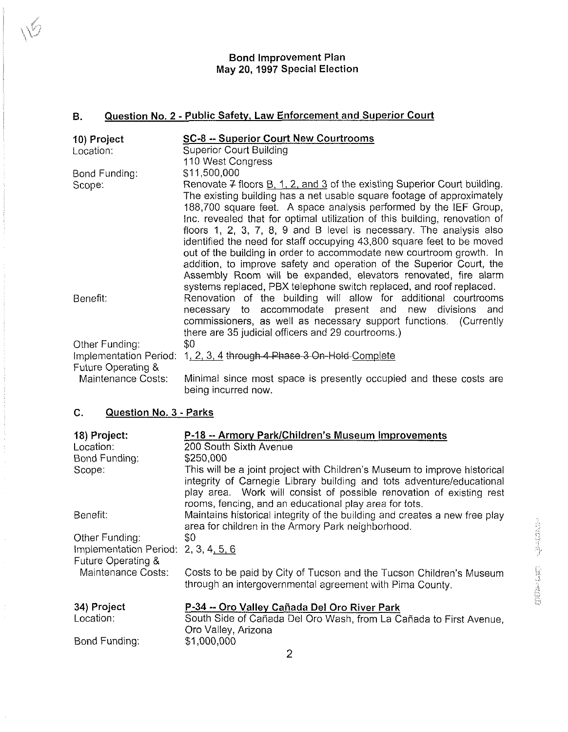#### Bond Improvement Plan May **20, 1997** Special Election

# **B.** Question No. **2** - Public Safetv, Law Enforcement and Superior Court

| 10) Project<br>Location:                                       | SC-8 -- Superior Court New Courtrooms<br><b>Superior Court Building</b><br>110 West Congress                                                                                                                                                                                                                                                                                                                                                                                                                                                                                                                                                                                                                                                                        |
|----------------------------------------------------------------|---------------------------------------------------------------------------------------------------------------------------------------------------------------------------------------------------------------------------------------------------------------------------------------------------------------------------------------------------------------------------------------------------------------------------------------------------------------------------------------------------------------------------------------------------------------------------------------------------------------------------------------------------------------------------------------------------------------------------------------------------------------------|
| Bond Funding:<br>Scope:                                        | \$11,500,000<br>Renovate $7$ floors B, 1, 2, and 3 of the existing Superior Court building.<br>The existing building has a net usable square footage of approximately<br>188,700 square feet. A space analysis performed by the IEF Group,<br>Inc. revealed that for optimal utilization of this building, renovation of<br>floors 1, 2, 3, 7, 8, 9 and B level is necessary. The analysis also<br>identified the need for staff occupying 43,800 square feet to be moved<br>out of the building in order to accommodate new courtroom growth. In<br>addition, to improve safety and operation of the Superior Court, the<br>Assembly Room will be expanded, elevators renovated, fire alarm<br>systems replaced, PBX telephone switch replaced, and roof replaced. |
| Benefit:                                                       | Renovation of the building will allow for additional courtrooms<br>necessary to accommodate present and new divisions and<br>commissioners, as well as necessary support functions. (Currently<br>there are 35 judicial officers and 29 courtrooms.)                                                                                                                                                                                                                                                                                                                                                                                                                                                                                                                |
| Other Funding:<br>Implementation Period:<br>Future Operating & | \$0<br>1, 2, 3, 4 through 4 Phase 3 On-Hold Complete                                                                                                                                                                                                                                                                                                                                                                                                                                                                                                                                                                                                                                                                                                                |
| Maintenance Costs:                                             | Minimal since most space is presently occupied and these costs are<br>being incurred now.                                                                                                                                                                                                                                                                                                                                                                                                                                                                                                                                                                                                                                                                           |

### C. Question No. **3** - Parks

 $\sqrt{2}$ 

| 18) Project:<br>Location:<br>Bond Funding: | P-18 -- Armory Park/Children's Museum Improvements<br>200 South Sixth Avenue<br>\$250,000                                                                                                                                                                                            |                                                                                                                                                                                                                                                                                                                                                                                    |
|--------------------------------------------|--------------------------------------------------------------------------------------------------------------------------------------------------------------------------------------------------------------------------------------------------------------------------------------|------------------------------------------------------------------------------------------------------------------------------------------------------------------------------------------------------------------------------------------------------------------------------------------------------------------------------------------------------------------------------------|
| Scope:                                     | This will be a joint project with Children's Museum to improve historical<br>integrity of Carnegie Library building and tots adventure/educational<br>play area. Work will consist of possible renovation of existing rest<br>rooms, fencing, and an educational play area for tots. |                                                                                                                                                                                                                                                                                                                                                                                    |
| Benefit:                                   | Maintains historical integrity of the building and creates a new free play<br>area for children in the Armory Park neighborhood.                                                                                                                                                     | $\frac{1}{2} \int_{\mathbb{R}^2} \frac{1}{2} \, \frac{1}{2} \, \frac{1}{2} \int_{\mathbb{R}^2} \frac{1}{2} \, \frac{1}{2} \, \frac{1}{2} \int_{\mathbb{R}^2} \frac{1}{2} \, \frac{1}{2} \, \frac{1}{2} \int_{\mathbb{R}^2} \frac{1}{2} \, \frac{1}{2} \, \frac{1}{2} \int_{\mathbb{R}^2} \frac{1}{2} \, \frac{1}{2} \, \frac{1}{2} \int_{\mathbb{R}^2} \frac{1}{2} \, \frac{1}{2}$ |
| Other Funding:                             | \$0                                                                                                                                                                                                                                                                                  |                                                                                                                                                                                                                                                                                                                                                                                    |
| Implementation Period: $2, 3, 4, 5, 6$     |                                                                                                                                                                                                                                                                                      |                                                                                                                                                                                                                                                                                                                                                                                    |
| Future Operating &                         |                                                                                                                                                                                                                                                                                      |                                                                                                                                                                                                                                                                                                                                                                                    |
| Maintenance Costs:                         | Costs to be paid by City of Tucson and the Tucson Children's Museum<br>through an intergovernmental agreement with Pima County.                                                                                                                                                      |                                                                                                                                                                                                                                                                                                                                                                                    |
| 34) Project                                | P-34 --- Oro Valley Cañada Del Oro River Park                                                                                                                                                                                                                                        |                                                                                                                                                                                                                                                                                                                                                                                    |
| Location:                                  | South Side of Cañada Del Oro Wash, from La Cañada to First Avenue,                                                                                                                                                                                                                   |                                                                                                                                                                                                                                                                                                                                                                                    |
|                                            | Oro Valley, Arizona                                                                                                                                                                                                                                                                  |                                                                                                                                                                                                                                                                                                                                                                                    |
| Bond Funding:                              | \$1,000,000                                                                                                                                                                                                                                                                          |                                                                                                                                                                                                                                                                                                                                                                                    |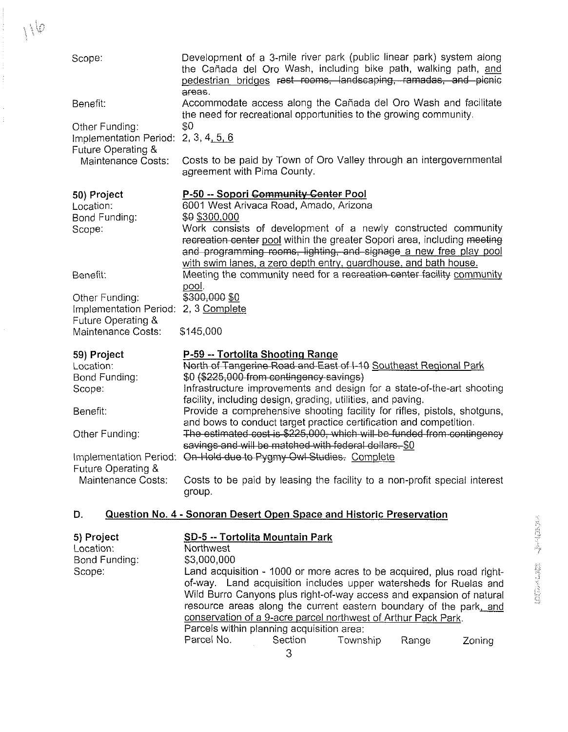| Scope:                                                 | Development of a 3-mile river park (public linear park) system along<br>the Cañada del Oro Wash, including bike path, walking path, and<br>pedestrian bridges rest rooms, landscaping, ramadas, and picnic<br>areas. |       |
|--------------------------------------------------------|----------------------------------------------------------------------------------------------------------------------------------------------------------------------------------------------------------------------|-------|
| Benefit:                                               | Accommodate access along the Cañada del Oro Wash and facilitate<br>the need for recreational opportunities to the growing community.                                                                                 |       |
| Other Funding:<br>Implementation Period: 2, 3, 4, 5, 6 | \$0                                                                                                                                                                                                                  |       |
| Future Operating &<br>Maintenance Costs:               | Costs to be paid by Town of Oro Valley through an intergovernmental<br>agreement with Pima County.                                                                                                                   |       |
| 50) Project<br>Location:                               | P-50 -- Sopori Community Center Pool<br>6001 West Arivaca Road, Amado, Arizona                                                                                                                                       |       |
| Bond Funding:<br>Scope:                                | \$0 \$300,000<br>Work consists of development of a newly constructed community                                                                                                                                       |       |
|                                                        | recreation center pool within the greater Sopori area, including meeting<br>and programming rooms, lighting, and signage a new free play pool<br>with swim lanes, a zero depth entry, guardhouse, and bath house.    |       |
| Benefit:                                               | Meeting the community need for a recreation center facility community<br>pool.                                                                                                                                       |       |
| Other Funding:<br>Implementation Period:               | \$300,000 \$0<br>2, 3 Complete                                                                                                                                                                                       |       |
| Future Operating &<br>Maintenance Costs:               | \$145,000                                                                                                                                                                                                            |       |
| 59) Project<br>Location:                               | P-59 -- Tortolita Shooting Range<br>North of Tangerine Road and East of I-10 Southeast Regional Park                                                                                                                 |       |
| Bond Funding:<br>Scope:                                | \$0 (\$225,000 from contingency savings)<br>Infrastructure improvements and design for a state-of-the-art shooting                                                                                                   |       |
| Benefit:                                               | facility, including design, grading, utilities, and paving.<br>Provide a comprehensive shooting facility for rifles, pistols, shotguns,<br>and bows to conduct target practice certification and competition.        |       |
| Other Funding:                                         | The estimated cost is \$225,000, which will be funded from contingency<br>savings and will be matched with federal dollars. \$0                                                                                      |       |
| Implementation Period:<br>Future Operating &           | On-Hold due to Pygmy Owl Studies. Complete                                                                                                                                                                           |       |
| Maintenance Costs:                                     | Costs to be paid by leasing the facility to a non-profit special interest<br>group.                                                                                                                                  |       |
| D.                                                     | Question No. 4 - Sonoran Desert Open Space and Historic Preservation                                                                                                                                                 |       |
| 5) Project<br>Location:                                | SD-5 -- Tortolita Mountain Park<br>Northwest                                                                                                                                                                         | 高度的基础 |
| Bond Funding:<br>Scope:                                | \$3,000,000<br>Land acquisition - 1000 or more acres to be acquired, plus road right-                                                                                                                                | 一度の   |
|                                                        | of-way. Land acquisition includes upper watersheds for Ruelas and<br>Wild Burro Canyons plus right-of-way access and expansion of natural                                                                            |       |

 $\setminus \setminus \circ$ 

conservation of a 9-acre parcel northwest of Arthur Pack Park. Parcels within planning acquisition area:

Parcel No. Section Township Range Zoning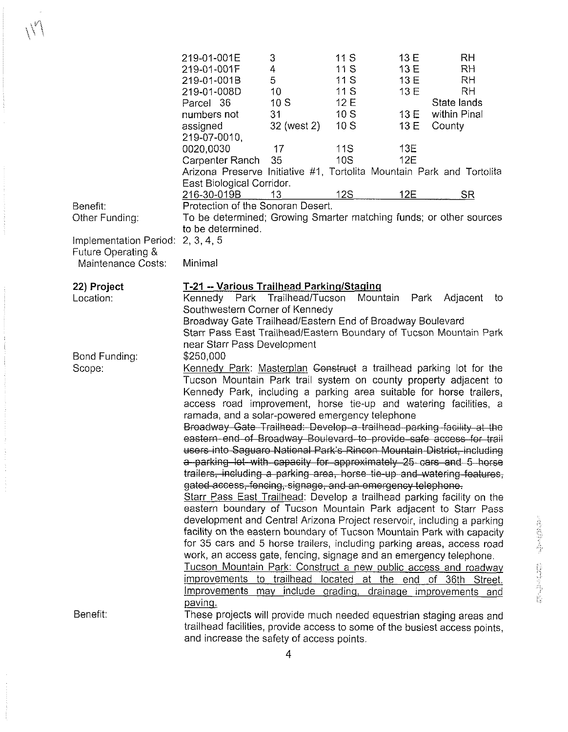|                                                                    | 219-01-001E<br>219-01-001F<br>219-01-001B<br>219-01-008D<br>Parcel 36<br>numbers not<br>assigned<br>219-07-0010,<br>0020,0030<br>Carpenter Ranch                                                                                                                                                                                                                                                                                                                                                                                                                                                                                                                                                                                                                                                                                                                                                                                                                                                                                                                                                                                                                                                                                                                                                                                                                                                              | 3<br>4<br>5<br>10<br>10S<br>31<br>32 (west 2)<br>17<br>35 | 11S<br>11S<br>11S<br>11S<br>12E<br>10S<br>10S<br>11S<br>10S | 13 E<br>13E<br>13 E<br>13 E<br>13 E<br>13 E<br>13E<br><b>12E</b> | <b>RH</b><br>RH<br>RH<br><b>RH</b><br>State lands<br>within Pinal<br>County |
|--------------------------------------------------------------------|---------------------------------------------------------------------------------------------------------------------------------------------------------------------------------------------------------------------------------------------------------------------------------------------------------------------------------------------------------------------------------------------------------------------------------------------------------------------------------------------------------------------------------------------------------------------------------------------------------------------------------------------------------------------------------------------------------------------------------------------------------------------------------------------------------------------------------------------------------------------------------------------------------------------------------------------------------------------------------------------------------------------------------------------------------------------------------------------------------------------------------------------------------------------------------------------------------------------------------------------------------------------------------------------------------------------------------------------------------------------------------------------------------------|-----------------------------------------------------------|-------------------------------------------------------------|------------------------------------------------------------------|-----------------------------------------------------------------------------|
| Benefit:<br>Other Funding:                                         | Arizona Preserve Initiative #1, Tortolita Mountain Park and Tortolita<br>East Biological Corridor.<br>216-30-019B<br>Protection of the Sonoran Desert.<br>To be determined; Growing Smarter matching funds; or other sources                                                                                                                                                                                                                                                                                                                                                                                                                                                                                                                                                                                                                                                                                                                                                                                                                                                                                                                                                                                                                                                                                                                                                                                  | 13                                                        | 12S                                                         | 12E                                                              | <b>SR</b>                                                                   |
| Implementation Period:<br>Future Operating &<br>Maintenance Costs: | to be determined.<br>2, 3, 4, 5<br>Minimal                                                                                                                                                                                                                                                                                                                                                                                                                                                                                                                                                                                                                                                                                                                                                                                                                                                                                                                                                                                                                                                                                                                                                                                                                                                                                                                                                                    |                                                           |                                                             |                                                                  |                                                                             |
| 22) Project<br>Location:                                           | <b>T-21 -- Various Trailhead Parking/Staging</b><br>Kennedy Park Trailhead/Tucson<br>Southwestern Corner of Kennedy<br>Broadway Gate Trailhead/Eastern End of Broadway Boulevard<br>Starr Pass East Trailhead/Eastern Boundary of Tucson Mountain Park<br>near Starr Pass Development                                                                                                                                                                                                                                                                                                                                                                                                                                                                                                                                                                                                                                                                                                                                                                                                                                                                                                                                                                                                                                                                                                                         |                                                           | Mountain                                                    | Park                                                             | Adjacent<br>to                                                              |
| Bond Funding:<br>Scope:                                            | \$250,000<br>Kennedy Park: Masterplan Gonstruct a trailhead parking lot for the<br>Tucson Mountain Park trail system on county property adjacent to<br>Kennedy Park, including a parking area suitable for horse trailers,<br>access road improvement, horse tie-up and watering facilities, a<br>ramada, and a solar-powered emergency telephone<br>Broadway Gate Trailhead: Develop a trailhead parking facility at the<br>eastern end of Broadway Boulevard to provide safe access for trail<br>users into Saguaro National Park's Rincon Mountain District, including<br>a parking lot with capacity for approximately 25 cars and 5 horse<br>trailers, including a parking area, horse tie-up and watering features,<br>gated access, fencing, signage, and an emergency telephone.<br>Starr Pass East Trailhead: Develop a trailhead parking facility on the<br>eastern boundary of Tucson Mountain Park adjacent to Starr Pass<br>development and Central Arizona Project reservoir, including a parking<br>facility on the eastern boundary of Tucson Mountain Park with capacity<br>for 35 cars and 5 horse trailers, including parking areas, access road<br>work, an access gate, fencing, signage and an emergency telephone.<br>Tucson Mountain Park: Construct a new public access and roadway<br>improvements<br>Improvements may include grading, drainage improvements and<br><u>paving.</u> | to trailhead                                              | located at the end                                          |                                                                  | of 36th Street.                                                             |
| Benefit:                                                           | These projects will provide much needed equestrian staging areas and<br>trailhead facilities, provide access to some of the busiest access points,<br>and increase the safety of access points.                                                                                                                                                                                                                                                                                                                                                                                                                                                                                                                                                                                                                                                                                                                                                                                                                                                                                                                                                                                                                                                                                                                                                                                                               |                                                           |                                                             |                                                                  |                                                                             |

 $\vee$ 

**4**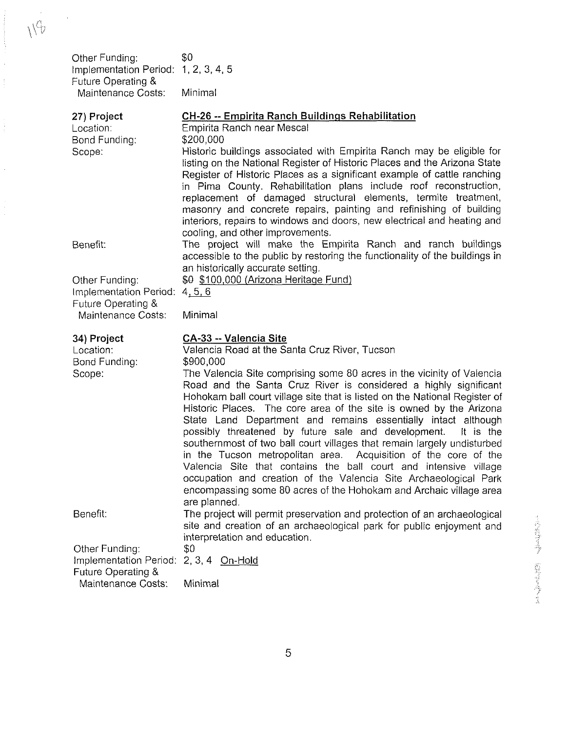Other Funding:  $$0$ lmplementation Period: 1, 2, 3, 4, 5 Future Operating & Maintenance Costs: Minimal

 $V^4$ 

 $\frac{1}{2}$ 

| 27) Project<br>Location:<br>Bond Funding:<br>Scope:                    | CH-26 -- Empirita Ranch Buildings Rehabilitation<br>Empirita Ranch near Mescal<br>\$200,000<br>Historic buildings associated with Empirita Ranch may be eligible for<br>listing on the National Register of Historic Places and the Arizona State<br>Register of Historic Places as a significant example of cattle ranching<br>in Pima County. Rehabilitation plans include roof reconstruction,<br>replacement of damaged structural elements, termite treatment,<br>masonry and concrete repairs, painting and refinishing of building<br>interiors, repairs to windows and doors, new electrical and heating and<br>cooling, and other improvements.                                                                                                                                                                                                                                                |            |
|------------------------------------------------------------------------|---------------------------------------------------------------------------------------------------------------------------------------------------------------------------------------------------------------------------------------------------------------------------------------------------------------------------------------------------------------------------------------------------------------------------------------------------------------------------------------------------------------------------------------------------------------------------------------------------------------------------------------------------------------------------------------------------------------------------------------------------------------------------------------------------------------------------------------------------------------------------------------------------------|------------|
| Benefit:                                                               | The project will make the Empirita Ranch and ranch buildings<br>accessible to the public by restoring the functionality of the buildings in<br>an historically accurate setting.                                                                                                                                                                                                                                                                                                                                                                                                                                                                                                                                                                                                                                                                                                                        |            |
| Other Funding:<br>Implementation Period: 4, 5, 6<br>Future Operating & | \$0 \$100,000 (Arizona Heritage Fund)                                                                                                                                                                                                                                                                                                                                                                                                                                                                                                                                                                                                                                                                                                                                                                                                                                                                   |            |
| Maintenance Costs:                                                     | Minimal                                                                                                                                                                                                                                                                                                                                                                                                                                                                                                                                                                                                                                                                                                                                                                                                                                                                                                 |            |
| 34) Project<br>Location:<br>Bond Funding:<br>Scope:                    | CA-33 -- Valencia Site<br>Valencia Road at the Santa Cruz River, Tucson<br>\$900,000<br>The Valencia Site comprising some 80 acres in the vicinity of Valencia<br>Road and the Santa Cruz River is considered a highly significant<br>Hohokam ball court village site that is listed on the National Register of<br>Historic Places. The core area of the site is owned by the Arizona<br>State Land Department and remains essentially intact although<br>possibly threatened by future sale and development.<br>It is the<br>southernmost of two ball court villages that remain largely undisturbed<br>in the Tucson metropolitan area. Acquisition of the core of the<br>Valencia Site that contains the ball court and intensive village<br>occupation and creation of the Valencia Site Archaeological Park<br>encompassing some 80 acres of the Hohokam and Archaic village area<br>are planned. |            |
| Benefit:                                                               | The project will permit preservation and protection of an archaeological<br>site and creation of an archaeological park for public enjoyment and<br>interpretation and education.                                                                                                                                                                                                                                                                                                                                                                                                                                                                                                                                                                                                                                                                                                                       | "我们的时候,我们的 |
| Other Funding:                                                         | \$0                                                                                                                                                                                                                                                                                                                                                                                                                                                                                                                                                                                                                                                                                                                                                                                                                                                                                                     |            |
| Implementation Period: 2, 3, 4 On-Hold<br>Future Operating &           |                                                                                                                                                                                                                                                                                                                                                                                                                                                                                                                                                                                                                                                                                                                                                                                                                                                                                                         |            |
| <b>Maintenance Costs:</b>                                              | Minimal                                                                                                                                                                                                                                                                                                                                                                                                                                                                                                                                                                                                                                                                                                                                                                                                                                                                                                 |            |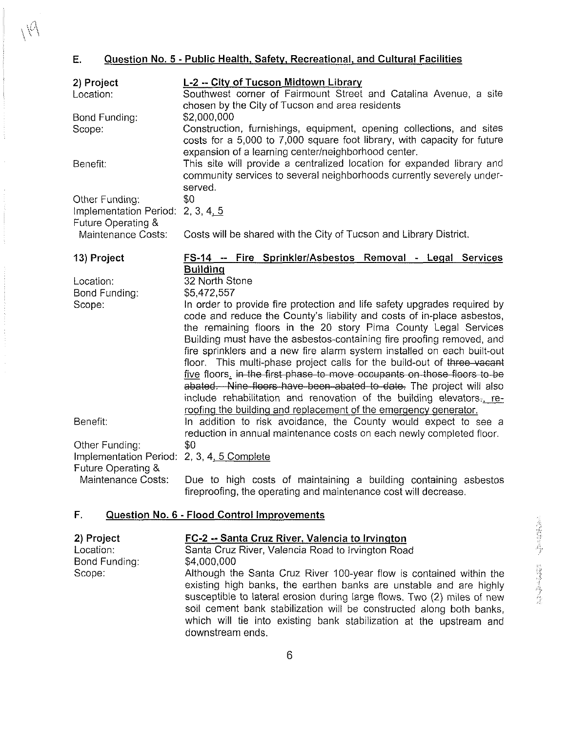## E. Question No. **5** - Public Health. Safety. Recreational, and Cultural Facilities

 $M/$ 

| Question No. 5 - Public Health, Safety, Recreational, and Cultural Facilities<br>Ε.<br>L-2 -- City of Tucson Midtown Library<br>Southwest corner of Fairmount Street and Catalina Avenue, a site<br>2) Project<br>Location:<br>chosen by the City of Tucson and area residents<br>\$2,000,000<br>Bond Funding:<br>Construction, furnishings, equipment, opening collections, and sites<br>costs for a 5,000 to 7,000 square foot library, with capacity for future<br>expansion of a learning center/neighborhood center.<br>This site will provide a cen<br>Scope:<br>Benefit:<br>community services to several neighborhoods currently severely under-<br>served.<br>Other Funding:<br>\$0<br>Implementation Period: 2, 3, 4, 5<br>Future Operating &<br>Costs will be shared with the City of Tucson and Library District.<br>Maintenance Costs:<br>FS-14 -- Fire Sprinkler/Asbestos Removal - Legal Services<br>13) Project<br><b>Building</b><br>32 North Stone<br>Location:<br>Bond Funding:<br>\$5,472,557<br>\$5,472,557<br>In order to provide fire protection and life safety upgrades required by<br>code and reduce the County's liability and costs of in-place asbestos,<br>the remaining floors in the 20 story Pima County Legal Services<br>Bu<br>Scope:<br>Benefit:<br>reduction in annual maintenance costs on each newly completed floor.<br>Other Funding:<br>\$0<br>Implementation Period: 2, 3, 4, 5 Complete<br>Future Operating &<br>Maintenance Costs: Due to high costs of maintaining a building containing asbestos<br>fireproofing, the operating and maintenance cost will decrease.<br>$F_{\rm s}$<br>Question No. 6 - Flood Control Improvements<br>2) Project<br>Location:<br><u>FC-2 -- Santa Cruz River, Valencia to Irvington</u><br>Santa Cruz River, Valencia Road to Irvington Road<br>Bond Funding:<br>\$4,000,000<br>Although the Santa Cruz River 100-year flow is contained within the existing high banks, the earthen banks are unstable and are highly susceptible to lateral erosion during large flows. Two (2) miles of new soil cement ban<br>Scope:<br>which will tie into existing bank stabilization at the upstream and<br>downstream ends. |  |  |  |  |
|----------------------------------------------------------------------------------------------------------------------------------------------------------------------------------------------------------------------------------------------------------------------------------------------------------------------------------------------------------------------------------------------------------------------------------------------------------------------------------------------------------------------------------------------------------------------------------------------------------------------------------------------------------------------------------------------------------------------------------------------------------------------------------------------------------------------------------------------------------------------------------------------------------------------------------------------------------------------------------------------------------------------------------------------------------------------------------------------------------------------------------------------------------------------------------------------------------------------------------------------------------------------------------------------------------------------------------------------------------------------------------------------------------------------------------------------------------------------------------------------------------------------------------------------------------------------------------------------------------------------------------------------------------------------------------------------------------------------------------------------------------------------------------------------------------------------------------------------------------------------------------------------------------------------------------------------------------------------------------------------------------------------------------------------------------------------------------------------------------------------------------------------------------------------------------------------------|--|--|--|--|
|                                                                                                                                                                                                                                                                                                                                                                                                                                                                                                                                                                                                                                                                                                                                                                                                                                                                                                                                                                                                                                                                                                                                                                                                                                                                                                                                                                                                                                                                                                                                                                                                                                                                                                                                                                                                                                                                                                                                                                                                                                                                                                                                                                                                    |  |  |  |  |
|                                                                                                                                                                                                                                                                                                                                                                                                                                                                                                                                                                                                                                                                                                                                                                                                                                                                                                                                                                                                                                                                                                                                                                                                                                                                                                                                                                                                                                                                                                                                                                                                                                                                                                                                                                                                                                                                                                                                                                                                                                                                                                                                                                                                    |  |  |  |  |
|                                                                                                                                                                                                                                                                                                                                                                                                                                                                                                                                                                                                                                                                                                                                                                                                                                                                                                                                                                                                                                                                                                                                                                                                                                                                                                                                                                                                                                                                                                                                                                                                                                                                                                                                                                                                                                                                                                                                                                                                                                                                                                                                                                                                    |  |  |  |  |
|                                                                                                                                                                                                                                                                                                                                                                                                                                                                                                                                                                                                                                                                                                                                                                                                                                                                                                                                                                                                                                                                                                                                                                                                                                                                                                                                                                                                                                                                                                                                                                                                                                                                                                                                                                                                                                                                                                                                                                                                                                                                                                                                                                                                    |  |  |  |  |
|                                                                                                                                                                                                                                                                                                                                                                                                                                                                                                                                                                                                                                                                                                                                                                                                                                                                                                                                                                                                                                                                                                                                                                                                                                                                                                                                                                                                                                                                                                                                                                                                                                                                                                                                                                                                                                                                                                                                                                                                                                                                                                                                                                                                    |  |  |  |  |
|                                                                                                                                                                                                                                                                                                                                                                                                                                                                                                                                                                                                                                                                                                                                                                                                                                                                                                                                                                                                                                                                                                                                                                                                                                                                                                                                                                                                                                                                                                                                                                                                                                                                                                                                                                                                                                                                                                                                                                                                                                                                                                                                                                                                    |  |  |  |  |
|                                                                                                                                                                                                                                                                                                                                                                                                                                                                                                                                                                                                                                                                                                                                                                                                                                                                                                                                                                                                                                                                                                                                                                                                                                                                                                                                                                                                                                                                                                                                                                                                                                                                                                                                                                                                                                                                                                                                                                                                                                                                                                                                                                                                    |  |  |  |  |
|                                                                                                                                                                                                                                                                                                                                                                                                                                                                                                                                                                                                                                                                                                                                                                                                                                                                                                                                                                                                                                                                                                                                                                                                                                                                                                                                                                                                                                                                                                                                                                                                                                                                                                                                                                                                                                                                                                                                                                                                                                                                                                                                                                                                    |  |  |  |  |
|                                                                                                                                                                                                                                                                                                                                                                                                                                                                                                                                                                                                                                                                                                                                                                                                                                                                                                                                                                                                                                                                                                                                                                                                                                                                                                                                                                                                                                                                                                                                                                                                                                                                                                                                                                                                                                                                                                                                                                                                                                                                                                                                                                                                    |  |  |  |  |
|                                                                                                                                                                                                                                                                                                                                                                                                                                                                                                                                                                                                                                                                                                                                                                                                                                                                                                                                                                                                                                                                                                                                                                                                                                                                                                                                                                                                                                                                                                                                                                                                                                                                                                                                                                                                                                                                                                                                                                                                                                                                                                                                                                                                    |  |  |  |  |
|                                                                                                                                                                                                                                                                                                                                                                                                                                                                                                                                                                                                                                                                                                                                                                                                                                                                                                                                                                                                                                                                                                                                                                                                                                                                                                                                                                                                                                                                                                                                                                                                                                                                                                                                                                                                                                                                                                                                                                                                                                                                                                                                                                                                    |  |  |  |  |
|                                                                                                                                                                                                                                                                                                                                                                                                                                                                                                                                                                                                                                                                                                                                                                                                                                                                                                                                                                                                                                                                                                                                                                                                                                                                                                                                                                                                                                                                                                                                                                                                                                                                                                                                                                                                                                                                                                                                                                                                                                                                                                                                                                                                    |  |  |  |  |
|                                                                                                                                                                                                                                                                                                                                                                                                                                                                                                                                                                                                                                                                                                                                                                                                                                                                                                                                                                                                                                                                                                                                                                                                                                                                                                                                                                                                                                                                                                                                                                                                                                                                                                                                                                                                                                                                                                                                                                                                                                                                                                                                                                                                    |  |  |  |  |
|                                                                                                                                                                                                                                                                                                                                                                                                                                                                                                                                                                                                                                                                                                                                                                                                                                                                                                                                                                                                                                                                                                                                                                                                                                                                                                                                                                                                                                                                                                                                                                                                                                                                                                                                                                                                                                                                                                                                                                                                                                                                                                                                                                                                    |  |  |  |  |
|                                                                                                                                                                                                                                                                                                                                                                                                                                                                                                                                                                                                                                                                                                                                                                                                                                                                                                                                                                                                                                                                                                                                                                                                                                                                                                                                                                                                                                                                                                                                                                                                                                                                                                                                                                                                                                                                                                                                                                                                                                                                                                                                                                                                    |  |  |  |  |
|                                                                                                                                                                                                                                                                                                                                                                                                                                                                                                                                                                                                                                                                                                                                                                                                                                                                                                                                                                                                                                                                                                                                                                                                                                                                                                                                                                                                                                                                                                                                                                                                                                                                                                                                                                                                                                                                                                                                                                                                                                                                                                                                                                                                    |  |  |  |  |
|                                                                                                                                                                                                                                                                                                                                                                                                                                                                                                                                                                                                                                                                                                                                                                                                                                                                                                                                                                                                                                                                                                                                                                                                                                                                                                                                                                                                                                                                                                                                                                                                                                                                                                                                                                                                                                                                                                                                                                                                                                                                                                                                                                                                    |  |  |  |  |
|                                                                                                                                                                                                                                                                                                                                                                                                                                                                                                                                                                                                                                                                                                                                                                                                                                                                                                                                                                                                                                                                                                                                                                                                                                                                                                                                                                                                                                                                                                                                                                                                                                                                                                                                                                                                                                                                                                                                                                                                                                                                                                                                                                                                    |  |  |  |  |
|                                                                                                                                                                                                                                                                                                                                                                                                                                                                                                                                                                                                                                                                                                                                                                                                                                                                                                                                                                                                                                                                                                                                                                                                                                                                                                                                                                                                                                                                                                                                                                                                                                                                                                                                                                                                                                                                                                                                                                                                                                                                                                                                                                                                    |  |  |  |  |
|                                                                                                                                                                                                                                                                                                                                                                                                                                                                                                                                                                                                                                                                                                                                                                                                                                                                                                                                                                                                                                                                                                                                                                                                                                                                                                                                                                                                                                                                                                                                                                                                                                                                                                                                                                                                                                                                                                                                                                                                                                                                                                                                                                                                    |  |  |  |  |
|                                                                                                                                                                                                                                                                                                                                                                                                                                                                                                                                                                                                                                                                                                                                                                                                                                                                                                                                                                                                                                                                                                                                                                                                                                                                                                                                                                                                                                                                                                                                                                                                                                                                                                                                                                                                                                                                                                                                                                                                                                                                                                                                                                                                    |  |  |  |  |
|                                                                                                                                                                                                                                                                                                                                                                                                                                                                                                                                                                                                                                                                                                                                                                                                                                                                                                                                                                                                                                                                                                                                                                                                                                                                                                                                                                                                                                                                                                                                                                                                                                                                                                                                                                                                                                                                                                                                                                                                                                                                                                                                                                                                    |  |  |  |  |
|                                                                                                                                                                                                                                                                                                                                                                                                                                                                                                                                                                                                                                                                                                                                                                                                                                                                                                                                                                                                                                                                                                                                                                                                                                                                                                                                                                                                                                                                                                                                                                                                                                                                                                                                                                                                                                                                                                                                                                                                                                                                                                                                                                                                    |  |  |  |  |
|                                                                                                                                                                                                                                                                                                                                                                                                                                                                                                                                                                                                                                                                                                                                                                                                                                                                                                                                                                                                                                                                                                                                                                                                                                                                                                                                                                                                                                                                                                                                                                                                                                                                                                                                                                                                                                                                                                                                                                                                                                                                                                                                                                                                    |  |  |  |  |
|                                                                                                                                                                                                                                                                                                                                                                                                                                                                                                                                                                                                                                                                                                                                                                                                                                                                                                                                                                                                                                                                                                                                                                                                                                                                                                                                                                                                                                                                                                                                                                                                                                                                                                                                                                                                                                                                                                                                                                                                                                                                                                                                                                                                    |  |  |  |  |
|                                                                                                                                                                                                                                                                                                                                                                                                                                                                                                                                                                                                                                                                                                                                                                                                                                                                                                                                                                                                                                                                                                                                                                                                                                                                                                                                                                                                                                                                                                                                                                                                                                                                                                                                                                                                                                                                                                                                                                                                                                                                                                                                                                                                    |  |  |  |  |
|                                                                                                                                                                                                                                                                                                                                                                                                                                                                                                                                                                                                                                                                                                                                                                                                                                                                                                                                                                                                                                                                                                                                                                                                                                                                                                                                                                                                                                                                                                                                                                                                                                                                                                                                                                                                                                                                                                                                                                                                                                                                                                                                                                                                    |  |  |  |  |
|                                                                                                                                                                                                                                                                                                                                                                                                                                                                                                                                                                                                                                                                                                                                                                                                                                                                                                                                                                                                                                                                                                                                                                                                                                                                                                                                                                                                                                                                                                                                                                                                                                                                                                                                                                                                                                                                                                                                                                                                                                                                                                                                                                                                    |  |  |  |  |
|                                                                                                                                                                                                                                                                                                                                                                                                                                                                                                                                                                                                                                                                                                                                                                                                                                                                                                                                                                                                                                                                                                                                                                                                                                                                                                                                                                                                                                                                                                                                                                                                                                                                                                                                                                                                                                                                                                                                                                                                                                                                                                                                                                                                    |  |  |  |  |
|                                                                                                                                                                                                                                                                                                                                                                                                                                                                                                                                                                                                                                                                                                                                                                                                                                                                                                                                                                                                                                                                                                                                                                                                                                                                                                                                                                                                                                                                                                                                                                                                                                                                                                                                                                                                                                                                                                                                                                                                                                                                                                                                                                                                    |  |  |  |  |
|                                                                                                                                                                                                                                                                                                                                                                                                                                                                                                                                                                                                                                                                                                                                                                                                                                                                                                                                                                                                                                                                                                                                                                                                                                                                                                                                                                                                                                                                                                                                                                                                                                                                                                                                                                                                                                                                                                                                                                                                                                                                                                                                                                                                    |  |  |  |  |
|                                                                                                                                                                                                                                                                                                                                                                                                                                                                                                                                                                                                                                                                                                                                                                                                                                                                                                                                                                                                                                                                                                                                                                                                                                                                                                                                                                                                                                                                                                                                                                                                                                                                                                                                                                                                                                                                                                                                                                                                                                                                                                                                                                                                    |  |  |  |  |
|                                                                                                                                                                                                                                                                                                                                                                                                                                                                                                                                                                                                                                                                                                                                                                                                                                                                                                                                                                                                                                                                                                                                                                                                                                                                                                                                                                                                                                                                                                                                                                                                                                                                                                                                                                                                                                                                                                                                                                                                                                                                                                                                                                                                    |  |  |  |  |
|                                                                                                                                                                                                                                                                                                                                                                                                                                                                                                                                                                                                                                                                                                                                                                                                                                                                                                                                                                                                                                                                                                                                                                                                                                                                                                                                                                                                                                                                                                                                                                                                                                                                                                                                                                                                                                                                                                                                                                                                                                                                                                                                                                                                    |  |  |  |  |

# F. Question No. **6** - Flood Control improvements

| 2) Project    | FC-2 -- Santa Cruz River, Valencia to Irvington                                                                                                                                                                                                                                                                                                                                         | ÷. |
|---------------|-----------------------------------------------------------------------------------------------------------------------------------------------------------------------------------------------------------------------------------------------------------------------------------------------------------------------------------------------------------------------------------------|----|
| Location:     | Santa Cruz River, Valencia Road to Irvington Road                                                                                                                                                                                                                                                                                                                                       | Ą  |
| Bond Funding: | \$4,000,000                                                                                                                                                                                                                                                                                                                                                                             |    |
| Scope:        | Although the Santa Cruz River 100-year flow is contained within the<br>existing high banks, the earthen banks are unstable and are highly<br>susceptible to lateral erosion during large flows. Two (2) miles of new<br>soil cement bank stabilization will be constructed along both banks,<br>which will tie into existing bank stabilization at the upstream and<br>downstream ends. |    |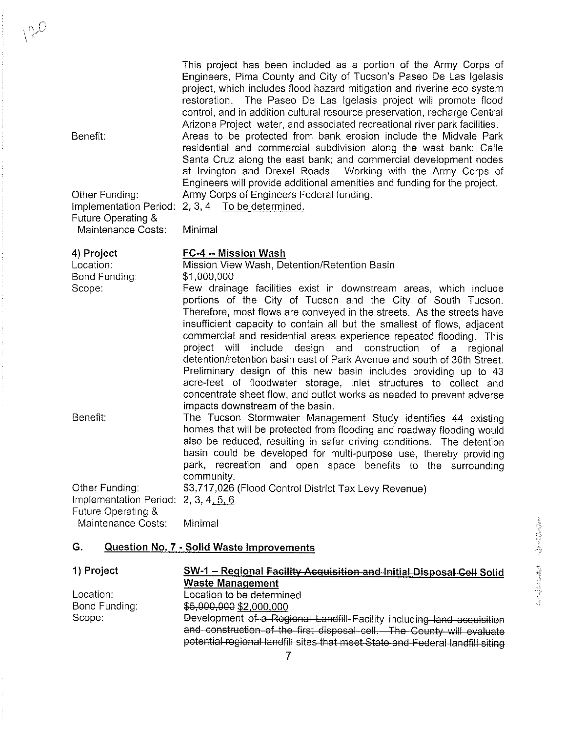This project has been included as a portion of the Army Corps of Engineers, Pima County and City of Tucson's Paseo De Las lgelasis project, which includes flood hazard mitigation and riverine eco system restoration. The Paseo De Las lgelasis project will promote flood control, and in addition cultural resource preservation, recharge Central Arizona Project water, and associated recreational river park facilities. Benefit: Areas to be protected from bank erosion include the Midvale Park residential and commercial subdivision along the west bank; Calle Santa Cruz along the east bank; and commercial development nodes at lrvington and Drexel Roads. Working with the Army Corps of Engineers will provide additional amenities and funding for the project. Other Funding: Army Corps of Engineers Federal funding.

Implementation Period: 2, 3, 4 To be determined. Future Operating & Maintenance Costs: Minimal

| 4) Project<br>Location:<br>Bond Funding:                                     | FC-4 -- Mission Wash<br>Mission View Wash, Detention/Retention Basin<br>\$1,000,000                                                                                                                                                                                                                                                                               |
|------------------------------------------------------------------------------|-------------------------------------------------------------------------------------------------------------------------------------------------------------------------------------------------------------------------------------------------------------------------------------------------------------------------------------------------------------------|
| Scope:                                                                       | Few drainage facilities exist in downstream areas, which include<br>portions of the City of Tucson and the City of South Tucson.<br>Therefore, most flows are conveyed in the streets. As the streets have<br>insufficient capacity to contain all but the smallest of flows, adjacent                                                                            |
|                                                                              | commercial and residential areas experience repeated flooding. This<br>project will include design and construction of a regional<br>detention/retention basin east of Park Avenue and south of 36th Street.                                                                                                                                                      |
|                                                                              | Preliminary design of this new basin includes providing up to 43<br>acre-feet of floodwater storage, inlet structures to collect and<br>concentrate sheet flow, and outlet works as needed to prevent adverse<br>impacts downstream of the basin.                                                                                                                 |
| Benefit:                                                                     | The Tucson Stormwater Management Study identifies 44 existing<br>homes that will be protected from flooding and roadway flooding would<br>also be reduced, resulting in safer driving conditions. The detention<br>basin could be developed for multi-purpose use, thereby providing<br>park, recreation and open space benefits to the surrounding<br>community. |
| Other Funding:<br>Implementation Period: 2, 3, 4, 5, 6<br>Future Operating & | \$3,717,026 (Flood Control District Tax Levy Revenue)                                                                                                                                                                                                                                                                                                             |
| Maintenance Costs:                                                           | Minimal                                                                                                                                                                                                                                                                                                                                                           |

#### **G.** Question No. **7** - Solid Waste improvements

| 1) Project    | SW-1 - Regional Facility Acquisition and Initial Disposal Cell Solid          |
|---------------|-------------------------------------------------------------------------------|
|               | <b>Waste Management</b>                                                       |
| Location:     | Location to be determined                                                     |
| Bond Funding: | \$5,000,000 \$2,000,000                                                       |
| Scope:        | Development of a Regional Landfill Facility including land acquisition        |
|               | and construction of the first disposal cell. The County will evaluate         |
|               | potential regional landfill sites that meet State and Federal landfill siting |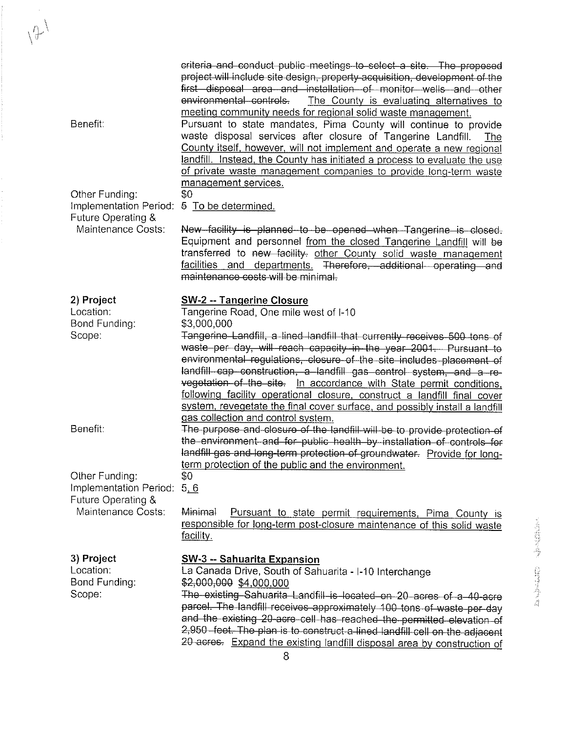| Benefit:                                                                             | criteria and conduct public meetings to select a site. The proposed<br>project will include site design, property acquisition, development of the<br>first disposal area and installation of monitor wells and other<br>environmental controls.<br>The County is evaluating alternatives to<br>meeting community needs for regional solid waste management.<br>Pursuant to state mandates, Pima County will continue to provide<br>waste disposal services after closure of Tangerine Landfill.<br>The<br>County itself, however, will not implement and operate a new regional<br>landfill. Instead, the County has initiated a process to evaluate the use |              |
|--------------------------------------------------------------------------------------|--------------------------------------------------------------------------------------------------------------------------------------------------------------------------------------------------------------------------------------------------------------------------------------------------------------------------------------------------------------------------------------------------------------------------------------------------------------------------------------------------------------------------------------------------------------------------------------------------------------------------------------------------------------|--------------|
| Other Funding:<br>Implementation Period: 5 To be determined.<br>Future Operating &   | of private waste management companies to provide long-term waste<br>management services.<br>\$0                                                                                                                                                                                                                                                                                                                                                                                                                                                                                                                                                              |              |
| Maintenance Costs:                                                                   | New facility is planned to be opened when Tangerine is closed.<br>Equipment and personnel from the closed Tangerine Landfill will be<br>transferred to new facility. other County solid waste management<br>facilities and departments. Therefore, additional operating and<br>maintenance costs will be minimal.                                                                                                                                                                                                                                                                                                                                            |              |
| 2) Project<br>Location:<br>Bond Funding:<br>Scope:                                   | <b>SW-2 -- Tangerine Closure</b><br>Tangerine Road, One mile west of I-10<br>\$3,000,000<br>Tangerine Landfill, a lined landfill that currently receives 500 tons of<br>waste per day, will reach capacity in the year 2001. Pursuant to<br>environmental regulations, closure of the site includes placement of<br>landfill cap construction, a landfill gas control system, and a re-<br>vegetation of the site. In accordance with State permit conditions,<br>following facility operational closure, construct a landfill final cover<br>system, revegetate the final cover surface, and possibly install a landfill                                    |              |
| Benefit:                                                                             | gas collection and control system.<br>The purpose and closure of the landfill will be to provide protection of<br>the environment and for public health by installation of controls for<br>landfill gas and long-term protection of groundwater. Provide for long-<br>term protection of the public and the environment.                                                                                                                                                                                                                                                                                                                                     |              |
| Other Funding:<br>Implementation Period:<br>Future Operating &<br>Maintenance Costs: | \$0<br>5,6<br>Minimal<br>Pursuant to state permit requirements, Pima County is                                                                                                                                                                                                                                                                                                                                                                                                                                                                                                                                                                               |              |
| 3) Project                                                                           | responsible for long-term post-closure maintenance of this solid waste<br>facility.<br><b>SW-3 -- Sahuarita Expansion</b>                                                                                                                                                                                                                                                                                                                                                                                                                                                                                                                                    | <b>WELLS</b> |
| Location:<br>Bond Funding:<br>Scope:                                                 | La Canada Drive, South of Sahuarita - I-10 Interchange<br>\$2,000,000 \$4,000,000<br>The existing Sahuarita Landfill is located on 20 acres of a 40-acre                                                                                                                                                                                                                                                                                                                                                                                                                                                                                                     | 2010年1月11日   |

 $\overline{v}$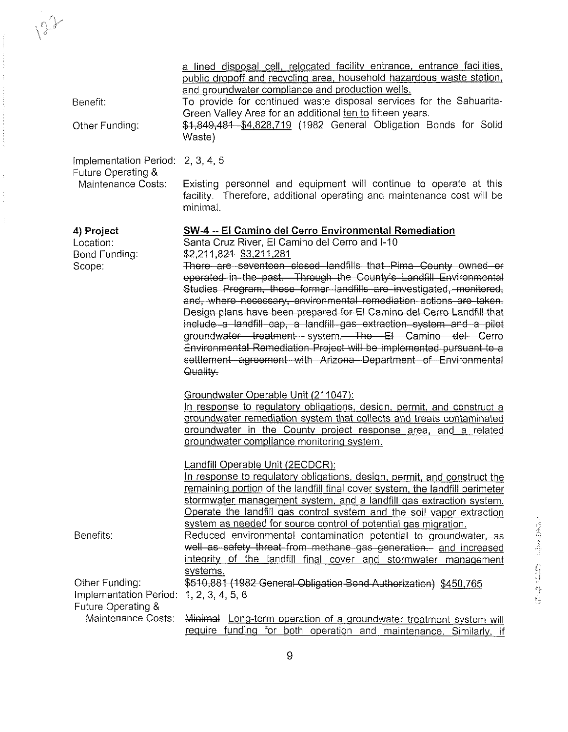|                                                                                 | a lined disposal cell, relocated facility entrance, entrance facilities,<br>public dropoff and recycling area, household hazardous waste station,<br>and groundwater compliance and production wells.                                                                                                                                                                                                                              |  |
|---------------------------------------------------------------------------------|------------------------------------------------------------------------------------------------------------------------------------------------------------------------------------------------------------------------------------------------------------------------------------------------------------------------------------------------------------------------------------------------------------------------------------|--|
| Benefit:<br>Other Funding:                                                      | To provide for continued waste disposal services for the Sahuarita-<br>Green Valley Area for an additional ten to fifteen years.<br>\$1,849,481 \$4,828,719 (1982 General Obligation Bonds for Solid                                                                                                                                                                                                                               |  |
| Implementation Period: 2, 3, 4, 5<br>Future Operating &                         | Waste)                                                                                                                                                                                                                                                                                                                                                                                                                             |  |
| Maintenance Costs:                                                              | Existing personnel and equipment will continue to operate at this<br>facility. Therefore, additional operating and maintenance cost will be<br>minimal.                                                                                                                                                                                                                                                                            |  |
| 4) Project<br>Location:<br>Bond Funding:                                        | SW-4 -- El Camino del Cerro Environmental Remediation<br>Santa Cruz River, El Camino del Cerro and I-10<br>\$2,211,824 \$3,211,281                                                                                                                                                                                                                                                                                                 |  |
| Scope:                                                                          | There are seventeen closed landfills that Pima County owned or<br>operated in the past. Through the County's Landfill Environmental<br>Studies Program, these former landfills are investigated, monitored,<br>and, where necessary, environmental remediation actions are taken.<br>Design plans have been prepared for El Camino del Cerro Landfill that<br>include a landfill cap, a landfill gas extraction system and a pilot |  |
|                                                                                 | groundwater treatment system. The El Camino del Cerro<br>Environmental Remediation Project will be implemented pursuant to a<br>settlement agreement with Arizona Department of Environmental<br>Quality.                                                                                                                                                                                                                          |  |
|                                                                                 | Groundwater Operable Unit (211047):<br>In response to regulatory obligations, design, permit, and construct a<br>groundwater remediation system that collects and treats contaminated<br>groundwater in the County project response area, and a related<br>groundwater compliance monitoring system.                                                                                                                               |  |
|                                                                                 | Landfill Operable Unit (2ECDCR):<br>In response to regulatory obligations, design, permit, and construct the<br>remaining portion of the landfill final cover system, the landfill perimeter<br>stormwater management system, and a landfill gas extraction system.<br>Operate the landfill gas control system and the soil vapor extraction                                                                                       |  |
| Benefits:                                                                       | system as needed for source control of potential gas migration.<br>Reduced environmental contamination potential to groundwater, as<br>well as safety threat from methane gas generation. and increased<br>integrity of the landfill final cover and stormwater management                                                                                                                                                         |  |
| Other Funding:<br>Implementation Period: 1, 2, 3, 4, 5, 6<br>Future Operating & | systems.<br>\$510,881 (1982 General Obligation Bond Authorization) \$450,765                                                                                                                                                                                                                                                                                                                                                       |  |
| Maintenance Costs:                                                              | Minimal Long-term operation of a groundwater treatment system will<br>require funding for both operation and maintenance. Similarly, if                                                                                                                                                                                                                                                                                            |  |

 $V^2$